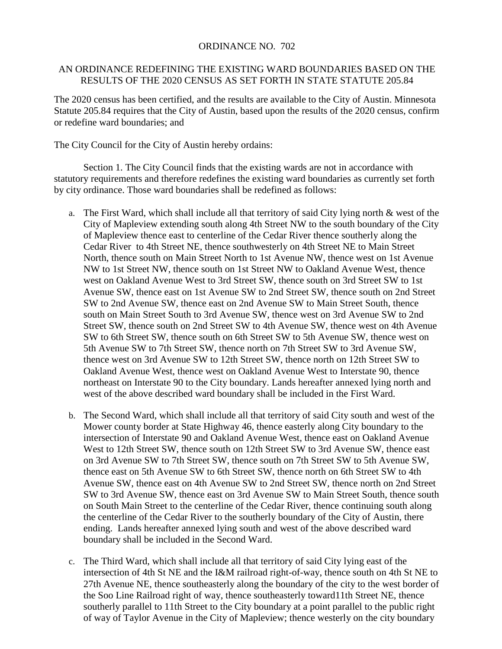## ORDINANCE NO. 702

## AN ORDINANCE REDEFINING THE EXISTING WARD BOUNDARIES BASED ON THE RESULTS OF THE 2020 CENSUS AS SET FORTH IN STATE STATUTE 205.84

The 2020 census has been certified, and the results are available to the City of Austin. Minnesota Statute 205.84 requires that the City of Austin, based upon the results of the 2020 census, confirm or redefine ward boundaries; and

The City Council for the City of Austin hereby ordains:

Section 1. The City Council finds that the existing wards are not in accordance with statutory requirements and therefore redefines the existing ward boundaries as currently set forth by city ordinance. Those ward boundaries shall be redefined as follows:

- a. The First Ward, which shall include all that territory of said City lying north & west of the City of Mapleview extending south along 4th Street NW to the south boundary of the City of Mapleview thence east to centerline of the Cedar River thence southerly along the Cedar River to 4th Street NE, thence southwesterly on 4th Street NE to Main Street North, thence south on Main Street North to 1st Avenue NW, thence west on 1st Avenue NW to 1st Street NW, thence south on 1st Street NW to Oakland Avenue West, thence west on Oakland Avenue West to 3rd Street SW, thence south on 3rd Street SW to 1st Avenue SW, thence east on 1st Avenue SW to 2nd Street SW, thence south on 2nd Street SW to 2nd Avenue SW, thence east on 2nd Avenue SW to Main Street South, thence south on Main Street South to 3rd Avenue SW, thence west on 3rd Avenue SW to 2nd Street SW, thence south on 2nd Street SW to 4th Avenue SW, thence west on 4th Avenue SW to 6th Street SW, thence south on 6th Street SW to 5th Avenue SW, thence west on 5th Avenue SW to 7th Street SW, thence north on 7th Street SW to 3rd Avenue SW, thence west on 3rd Avenue SW to 12th Street SW, thence north on 12th Street SW to Oakland Avenue West, thence west on Oakland Avenue West to Interstate 90, thence northeast on Interstate 90 to the City boundary. Lands hereafter annexed lying north and west of the above described ward boundary shall be included in the First Ward.
- b. The Second Ward, which shall include all that territory of said City south and west of the Mower county border at State Highway 46, thence easterly along City boundary to the intersection of Interstate 90 and Oakland Avenue West, thence east on Oakland Avenue West to 12th Street SW, thence south on 12th Street SW to 3rd Avenue SW, thence east on 3rd Avenue SW to 7th Street SW, thence south on 7th Street SW to 5th Avenue SW, thence east on 5th Avenue SW to 6th Street SW, thence north on 6th Street SW to 4th Avenue SW, thence east on 4th Avenue SW to 2nd Street SW, thence north on 2nd Street SW to 3rd Avenue SW, thence east on 3rd Avenue SW to Main Street South, thence south on South Main Street to the centerline of the Cedar River, thence continuing south along the centerline of the Cedar River to the southerly boundary of the City of Austin, there ending. Lands hereafter annexed lying south and west of the above described ward boundary shall be included in the Second Ward.
- c. The Third Ward, which shall include all that territory of said City lying east of the intersection of 4th St NE and the I&M railroad right-of-way, thence south on 4th St NE to 27th Avenue NE, thence southeasterly along the boundary of the city to the west border of the Soo Line Railroad right of way, thence southeasterly toward11th Street NE, thence southerly parallel to 11th Street to the City boundary at a point parallel to the public right of way of Taylor Avenue in the City of Mapleview; thence westerly on the city boundary